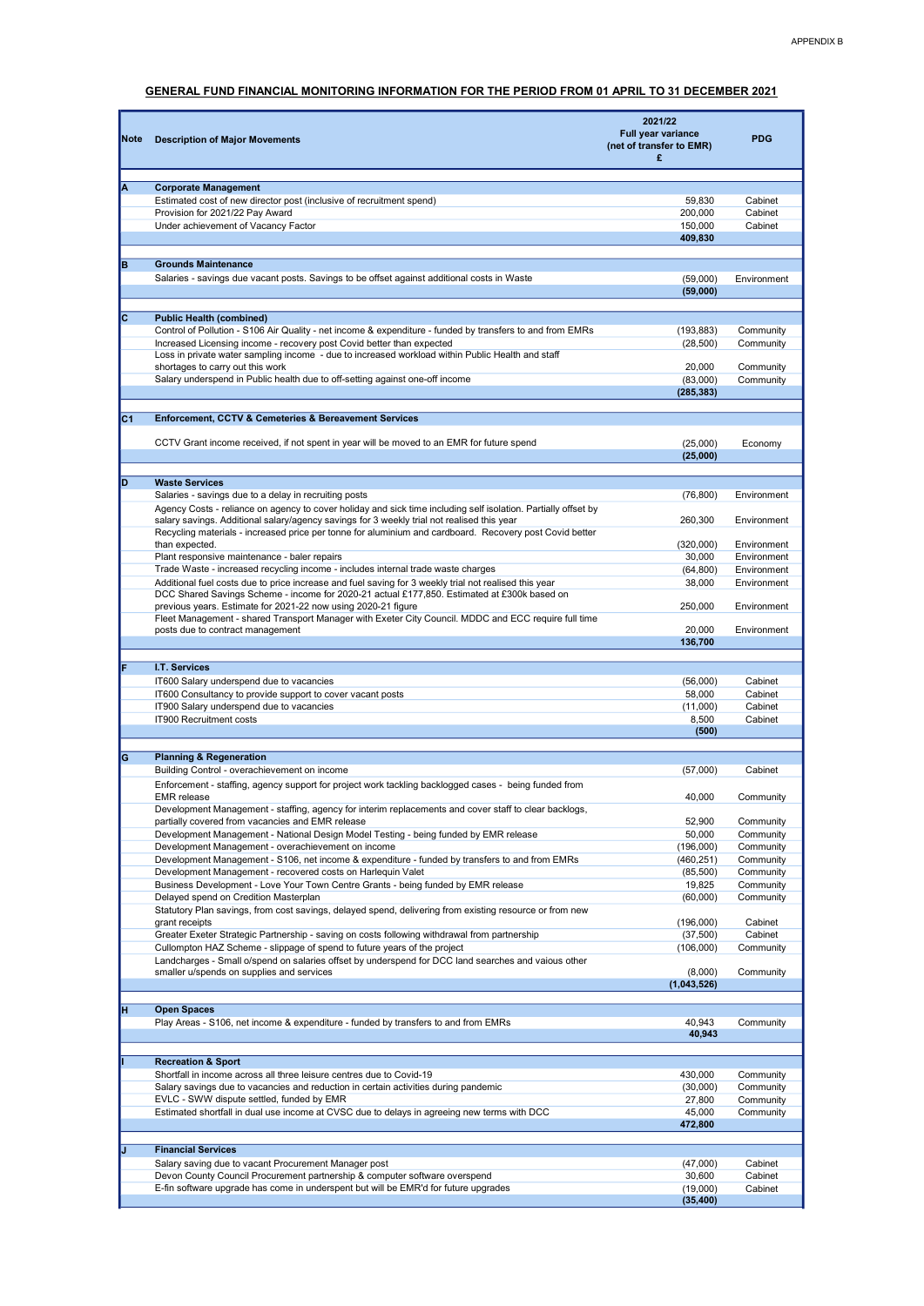## GENERAL FUND FINANCIAL MONITORING INFORMATION FOR THE PERIOD FROM 01 APRIL TO 31 DECEMBER 2021

| Note | <b>Description of Major Movements</b>                                                                                                                                     | 2021/22<br>Full year variance<br>(net of transfer to EMR)<br>£ | <b>PDG</b>             |
|------|---------------------------------------------------------------------------------------------------------------------------------------------------------------------------|----------------------------------------------------------------|------------------------|
| ΙA   | <b>Corporate Management</b>                                                                                                                                               |                                                                |                        |
|      | Estimated cost of new director post (inclusive of recruitment spend)                                                                                                      | 59,830                                                         | Cabinet                |
|      | Provision for 2021/22 Pay Award                                                                                                                                           | 200,000                                                        | Cabinet                |
|      | Under achievement of Vacancy Factor                                                                                                                                       | 150,000                                                        | Cabinet                |
|      |                                                                                                                                                                           | 409,830                                                        |                        |
|      | <b>Grounds Maintenance</b>                                                                                                                                                |                                                                |                        |
| B    | Salaries - savings due vacant posts. Savings to be offset against additional costs in Waste                                                                               | (59,000)                                                       | Environment            |
|      |                                                                                                                                                                           | (59,000)                                                       |                        |
|      |                                                                                                                                                                           |                                                                |                        |
| Iс   | <b>Public Health (combined)</b>                                                                                                                                           |                                                                |                        |
|      | Control of Pollution - S106 Air Quality - net income & expenditure - funded by transfers to and from EMRs                                                                 | (193, 883)                                                     | Community              |
|      | Increased Licensing income - recovery post Covid better than expected<br>Loss in private water sampling income - due to increased workload within Public Health and staff | (28, 500)                                                      | Community              |
|      | shortages to carry out this work                                                                                                                                          | 20,000                                                         | Community              |
|      | Salary underspend in Public health due to off-setting against one-off income                                                                                              | (83,000)                                                       | Community              |
|      |                                                                                                                                                                           | (285, 383)                                                     |                        |
|      |                                                                                                                                                                           |                                                                |                        |
| IC1  | Enforcement, CCTV & Cemeteries & Bereavement Services                                                                                                                     |                                                                |                        |
|      | CCTV Grant income received, if not spent in year will be moved to an EMR for future spend                                                                                 | (25,000)                                                       | Economy                |
|      |                                                                                                                                                                           | (25,000)                                                       |                        |
|      |                                                                                                                                                                           |                                                                |                        |
| Þ    | <b>Waste Services</b>                                                                                                                                                     |                                                                |                        |
|      | Salaries - savings due to a delay in recruiting posts                                                                                                                     | (76, 800)                                                      | Environment            |
|      | Agency Costs - reliance on agency to cover holiday and sick time including self isolation. Partially offset by                                                            |                                                                |                        |
|      | salary savings. Additional salary/agency savings for 3 weekly trial not realised this year                                                                                | 260,300                                                        | Environment            |
|      | Recycling materials - increased price per tonne for aluminium and cardboard. Recovery post Covid better<br>than expected.                                                 | (320,000)                                                      | Environment            |
|      | Plant responsive maintenance - baler repairs                                                                                                                              | 30,000                                                         | Environment            |
|      | Trade Waste - increased recycling income - includes internal trade waste charges                                                                                          | (64, 800)                                                      | Environment            |
|      | Additional fuel costs due to price increase and fuel saving for 3 weekly trial not realised this year                                                                     | 38,000                                                         | Environment            |
|      | DCC Shared Savings Scheme - income for 2020-21 actual £177,850. Estimated at £300k based on                                                                               |                                                                |                        |
|      | previous years. Estimate for 2021-22 now using 2020-21 figure<br>Fleet Management - shared Transport Manager with Exeter City Council. MDDC and ECC require full time     | 250,000                                                        | Environment            |
|      | posts due to contract management                                                                                                                                          | 20,000                                                         | Environment            |
|      |                                                                                                                                                                           | 136,700                                                        |                        |
|      |                                                                                                                                                                           |                                                                |                        |
| F    | I.T. Services                                                                                                                                                             |                                                                |                        |
|      | IT600 Salary underspend due to vacancies                                                                                                                                  | (56,000)                                                       | Cabinet<br>Cabinet     |
|      | IT600 Consultancy to provide support to cover vacant posts<br>IT900 Salary underspend due to vacancies                                                                    | 58,000<br>(11,000)                                             | Cabinet                |
|      | IT900 Recruitment costs                                                                                                                                                   | 8,500                                                          | Cabinet                |
|      |                                                                                                                                                                           | (500)                                                          |                        |
|      |                                                                                                                                                                           |                                                                |                        |
| G    | <b>Planning &amp; Regeneration</b>                                                                                                                                        |                                                                |                        |
|      | Building Control - overachievement on income                                                                                                                              | (57,000)                                                       | Cabinet                |
|      | Enforcement - staffing, agency support for project work tackling backlogged cases - being funded from<br>EMR release                                                      | 40,000                                                         | Community              |
|      | Development Management - staffing, agency for interim replacements and cover staff to clear backlogs,                                                                     |                                                                |                        |
|      | partially covered from vacancies and EMR release                                                                                                                          | 52,900                                                         | Community              |
|      | Development Management - National Design Model Testing - being funded by EMR release                                                                                      | 50,000                                                         | Community              |
|      | Development Management - overachievement on income                                                                                                                        | (196,000)                                                      | Community              |
|      | Development Management - S106, net income & expenditure - funded by transfers to and from EMRs                                                                            | (460, 251)                                                     | Community              |
|      | Development Management - recovered costs on Harlequin Valet<br>Business Development - Love Your Town Centre Grants - being funded by EMR release                          | (85,500)<br>19,825                                             | Community<br>Community |
|      | Delayed spend on Credition Masterplan                                                                                                                                     | (60,000)                                                       | Community              |
|      | Statutory Plan savings, from cost savings, delayed spend, delivering from existing resource or from new                                                                   |                                                                |                        |
|      | grant receipts                                                                                                                                                            | (196,000)                                                      | Cabinet                |
|      | Greater Exeter Strategic Partnership - saving on costs following withdrawal from partnership                                                                              | (37,500)                                                       | Cabinet                |
|      | Cullompton HAZ Scheme - slippage of spend to future years of the project                                                                                                  | (106,000)                                                      | Community              |
|      | Landcharges - Small o/spend on salaries offset by underspend for DCC land searches and vaious other<br>smaller u/spends on supplies and services                          | (8,000)                                                        | Community              |
|      |                                                                                                                                                                           | (1,043,526)                                                    |                        |
|      |                                                                                                                                                                           |                                                                |                        |
| П    | <b>Open Spaces</b>                                                                                                                                                        |                                                                |                        |
|      | Play Areas - S106, net income & expenditure - funded by transfers to and from EMRs                                                                                        | 40,943                                                         | Community              |
|      |                                                                                                                                                                           | 40,943                                                         |                        |
|      | <b>Recreation &amp; Sport</b>                                                                                                                                             |                                                                |                        |
|      | Shortfall in income across all three leisure centres due to Covid-19                                                                                                      | 430,000                                                        | Community              |
|      | Salary savings due to vacancies and reduction in certain activities during pandemic                                                                                       | (30,000)                                                       | Community              |
|      | EVLC - SWW dispute settled, funded by EMR                                                                                                                                 | 27,800                                                         | Community              |
|      | Estimated shortfall in dual use income at CVSC due to delays in agreeing new terms with DCC                                                                               | 45,000                                                         | Community              |
|      |                                                                                                                                                                           | 472,800                                                        |                        |
|      |                                                                                                                                                                           |                                                                |                        |
| IJ   | <b>Financial Services</b><br>Salary saving due to vacant Procurement Manager post                                                                                         | (47,000)                                                       | Cabinet                |
|      | Devon County Council Procurement partnership & computer software overspend                                                                                                | 30,600                                                         | Cabinet                |
|      | E-fin software upgrade has come in underspent but will be EMR'd for future upgrades                                                                                       | (19,000)                                                       | Cabinet                |
|      |                                                                                                                                                                           | (35, 400)                                                      |                        |